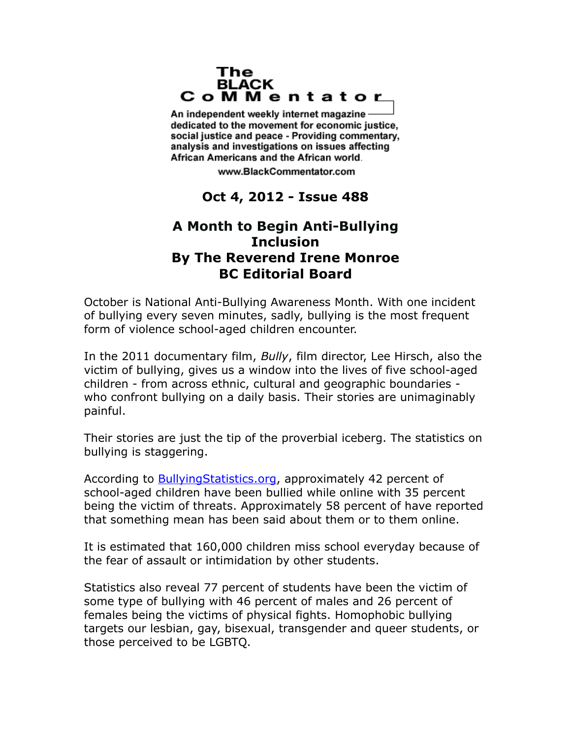## The **BLACK** CoMMentator

An independent weekly internet magazine dedicated to the movement for economic justice. social justice and peace - Providing commentary, analysis and investigations on issues affecting African Americans and the African world.

www.BlackCommentator.com

## **Oct 4, 2012 - Issue 488**

## **A Month to Begin Anti-Bullying Inclusion By The Reverend Irene Monroe BC Editorial Board**

October is National Anti-Bullying Awareness Month. With one incident of bullying every seven minutes, sadly, bullying is the most frequent form of violence school-aged children encounter.

In the 2011 documentary film, *Bully*, film director, Lee Hirsch, also the victim of bullying, gives us a window into the lives of five school-aged children - from across ethnic, cultural and geographic boundaries who confront bullying on a daily basis. Their stories are unimaginably painful.

Their stories are just the tip of the proverbial iceberg. The statistics on bullying is staggering.

According to [BullyingStatistics.org,](http://bullyingstatistics.org/) approximately 42 percent of school-aged children have been bullied while online with 35 percent being the victim of threats. Approximately 58 percent of have reported that something mean has been said about them or to them online.

It is estimated that 160,000 children miss school everyday because of the fear of assault or intimidation by other students.

Statistics also reveal 77 percent of students have been the victim of some type of bullying with 46 percent of males and 26 percent of females being the victims of physical fights. Homophobic bullying targets our lesbian, gay, bisexual, transgender and queer students, or those perceived to be LGBTQ.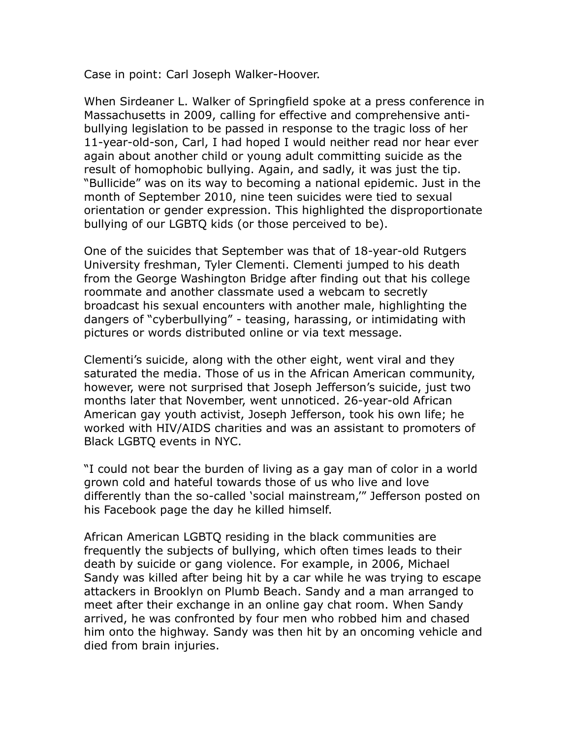Case in point: Carl Joseph Walker-Hoover.

When Sirdeaner L. Walker of Springfield spoke at a press conference in Massachusetts in 2009, calling for effective and comprehensive antibullying legislation to be passed in response to the tragic loss of her 11-year-old-son, Carl, I had hoped I would neither read nor hear ever again about another child or young adult committing suicide as the result of homophobic bullying. Again, and sadly, it was just the tip. "Bullicide" was on its way to becoming a national epidemic. Just in the month of September 2010, nine teen suicides were tied to sexual orientation or gender expression. This highlighted the disproportionate bullying of our LGBTQ kids (or those perceived to be).

One of the suicides that September was that of 18-year-old Rutgers University freshman, Tyler Clementi. Clementi jumped to his death from the George Washington Bridge after finding out that his college roommate and another classmate used a webcam to secretly broadcast his sexual encounters with another male, highlighting the dangers of "cyberbullying" - teasing, harassing, or intimidating with pictures or words distributed online or via text message.

Clementi's suicide, along with the other eight, went viral and they saturated the media. Those of us in the African American community, however, were not surprised that Joseph Jefferson's suicide, just two months later that November, went unnoticed. 26-year-old African American gay youth activist, Joseph Jefferson, took his own life; he worked with HIV/AIDS charities and was an assistant to promoters of Black LGBTQ events in NYC.

"I could not bear the burden of living as a gay man of color in a world grown cold and hateful towards those of us who live and love differently than the so-called 'social mainstream,'" Jefferson posted on his Facebook page the day he killed himself.

African American LGBTQ residing in the black communities are frequently the subjects of bullying, which often times leads to their death by suicide or gang violence. For example, in 2006, Michael Sandy was killed after being hit by a car while he was trying to escape attackers in Brooklyn on Plumb Beach. Sandy and a man arranged to meet after their exchange in an online gay chat room. When Sandy arrived, he was confronted by four men who robbed him and chased him onto the highway. Sandy was then hit by an oncoming vehicle and died from brain injuries.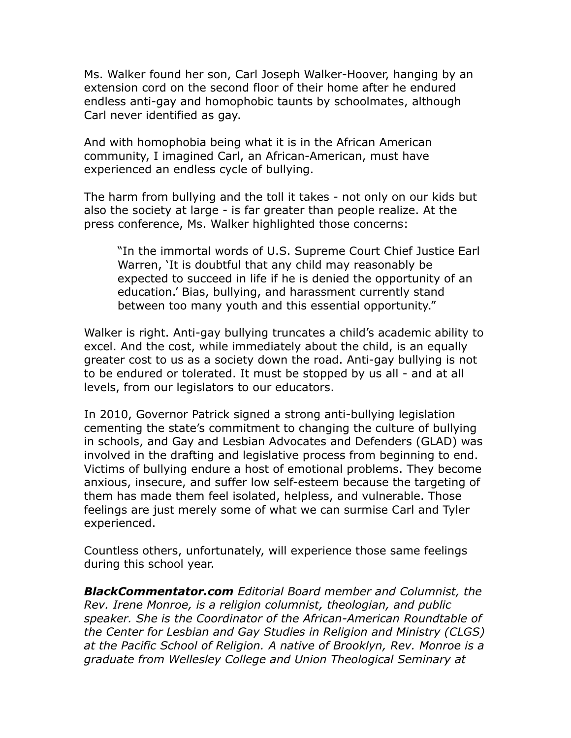Ms. Walker found her son, Carl Joseph Walker-Hoover, hanging by an extension cord on the second floor of their home after he endured endless anti-gay and homophobic taunts by schoolmates, although Carl never identified as gay.

And with homophobia being what it is in the African American community, I imagined Carl, an African-American, must have experienced an endless cycle of bullying.

The harm from bullying and the toll it takes - not only on our kids but also the society at large - is far greater than people realize. At the press conference, Ms. Walker highlighted those concerns:

"In the immortal words of U.S. Supreme Court Chief Justice Earl Warren, 'It is doubtful that any child may reasonably be expected to succeed in life if he is denied the opportunity of an education.' Bias, bullying, and harassment currently stand between too many youth and this essential opportunity."

Walker is right. Anti-gay bullying truncates a child's academic ability to excel. And the cost, while immediately about the child, is an equally greater cost to us as a society down the road. Anti-gay bullying is not to be endured or tolerated. It must be stopped by us all - and at all levels, from our legislators to our educators.

In 2010, Governor Patrick signed a strong anti-bullying legislation cementing the state's commitment to changing the culture of bullying in schools, and Gay and Lesbian Advocates and Defenders (GLAD) was involved in the drafting and legislative process from beginning to end. Victims of bullying endure a host of emotional problems. They become anxious, insecure, and suffer low self-esteem because the targeting of them has made them feel isolated, helpless, and vulnerable. Those feelings are just merely some of what we can surmise Carl and Tyler experienced.

Countless others, unfortunately, will experience those same feelings during this school year.

*BlackCommentator.com Editorial Board member and Columnist, the Rev. Irene Monroe, is a religion columnist, theologian, and public speaker. She is the Coordinator of the African-American Roundtable of the Center for Lesbian and Gay Studies in Religion and Ministry (CLGS) at the Pacific School of Religion. A native of Brooklyn, Rev. Monroe is a graduate from Wellesley College and Union Theological Seminary at*